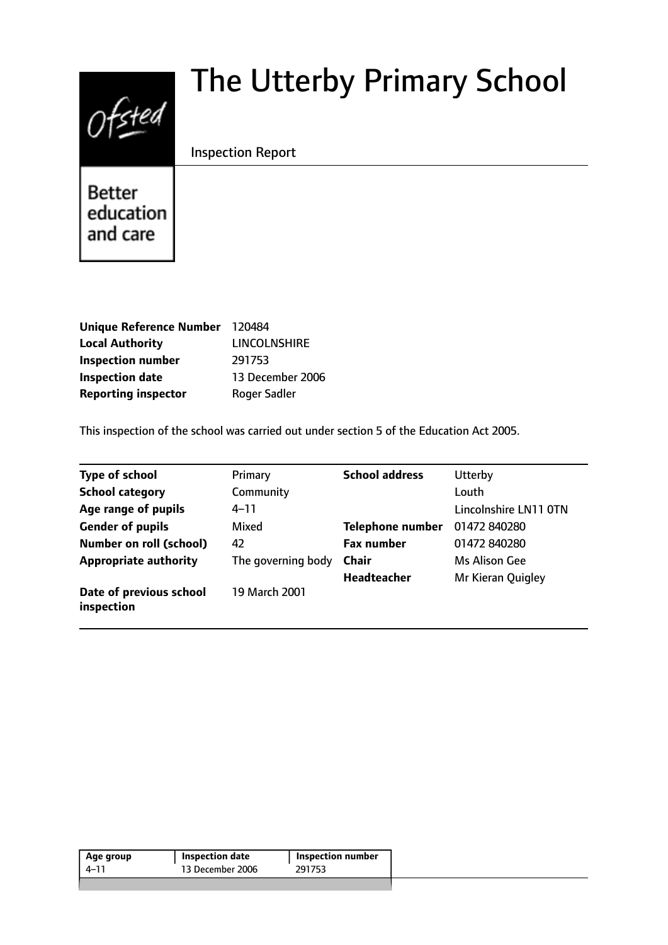# $0$ fsted

# The Utterby Primary School

# Inspection Report

**Better** education and care

| Unique Reference Number 120484 |                     |
|--------------------------------|---------------------|
| <b>Local Authority</b>         | <b>LINCOLNSHIRE</b> |
| <b>Inspection number</b>       | 291753              |
| <b>Inspection date</b>         | 13 December 2006    |
| <b>Reporting inspector</b>     | <b>Roger Sadler</b> |

This inspection of the school was carried out under section 5 of the Education Act 2005.

| <b>Type of school</b>                 | Primary            | <b>School address</b> | Utterby               |
|---------------------------------------|--------------------|-----------------------|-----------------------|
| <b>School category</b>                | Community          |                       | Louth                 |
| Age range of pupils                   | $4 - 11$           |                       | Lincolnshire LN11 OTN |
| <b>Gender of pupils</b>               | Mixed              | Telephone number      | 01472 840280          |
| <b>Number on roll (school)</b>        | 42                 | <b>Fax number</b>     | 01472 840280          |
| <b>Appropriate authority</b>          | The governing body | <b>Chair</b>          | Ms Alison Gee         |
|                                       |                    | <b>Headteacher</b>    | Mr Kieran Quigley     |
| Date of previous school<br>inspection | 19 March 2001      |                       |                       |

| Age group | <b>Inspection date</b> | <b>Inspection number</b> |
|-----------|------------------------|--------------------------|
| 4–11      | 13 December 2006       | 291753                   |
|           |                        |                          |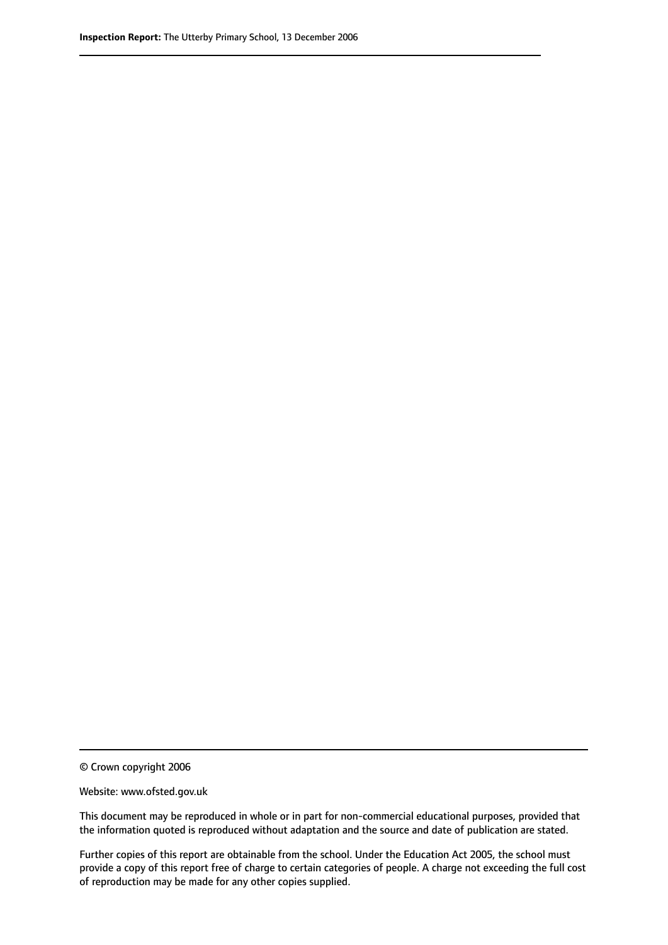© Crown copyright 2006

Website: www.ofsted.gov.uk

This document may be reproduced in whole or in part for non-commercial educational purposes, provided that the information quoted is reproduced without adaptation and the source and date of publication are stated.

Further copies of this report are obtainable from the school. Under the Education Act 2005, the school must provide a copy of this report free of charge to certain categories of people. A charge not exceeding the full cost of reproduction may be made for any other copies supplied.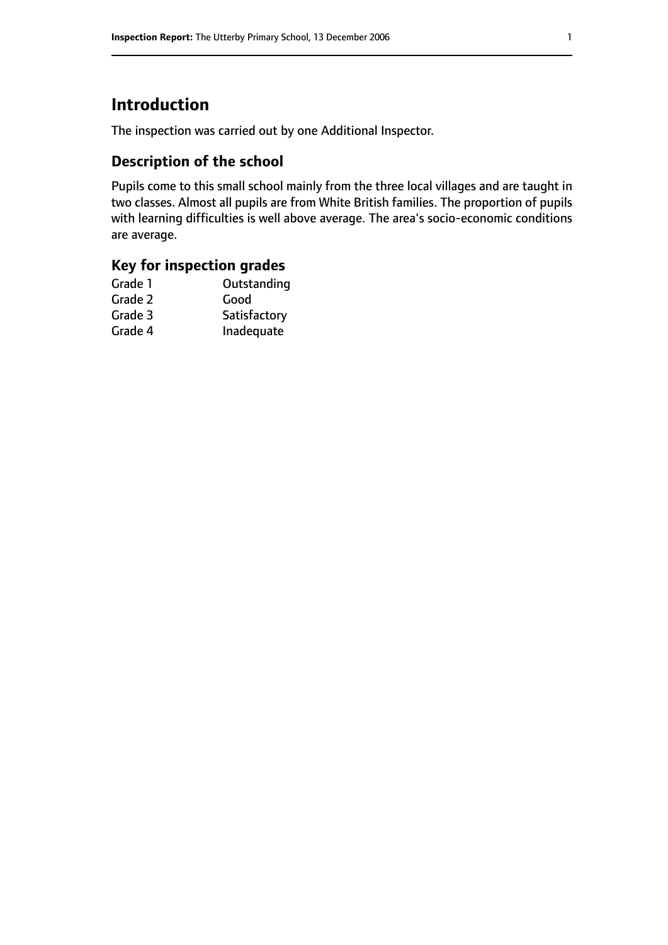# **Introduction**

The inspection was carried out by one Additional Inspector.

# **Description of the school**

Pupils come to this small school mainly from the three local villages and are taught in two classes. Almost all pupils are from White British families. The proportion of pupils with learning difficulties is well above average. The area's socio-economic conditions are average.

# **Key for inspection grades**

| Grade 1 | Outstanding  |
|---------|--------------|
| Grade 2 | Good         |
| Grade 3 | Satisfactory |
| Grade 4 | Inadequate   |
|         |              |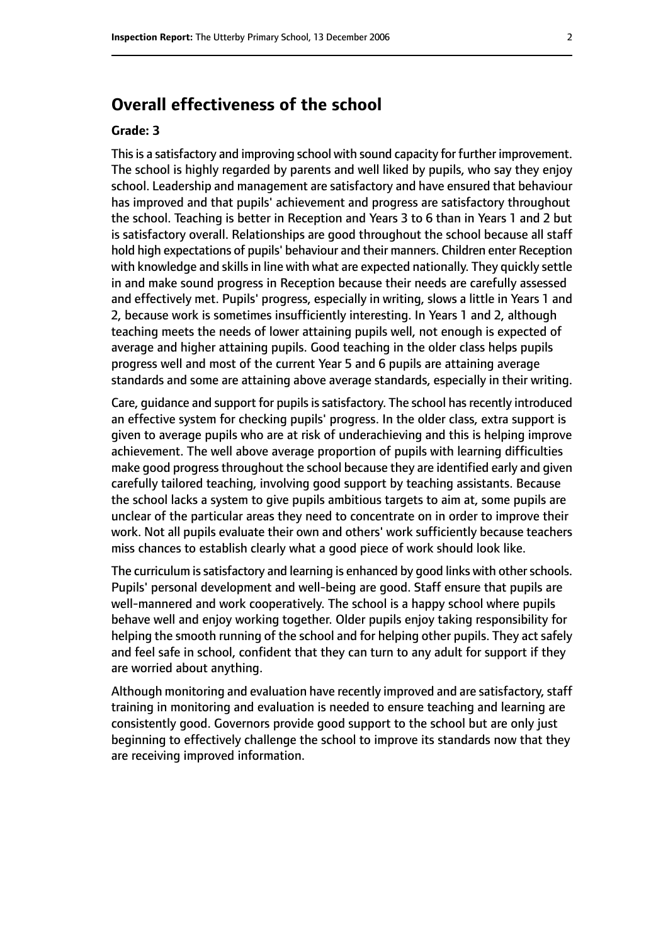# **Overall effectiveness of the school**

#### **Grade: 3**

This is a satisfactory and improving school with sound capacity for further improvement. The school is highly regarded by parents and well liked by pupils, who say they enjoy school. Leadership and management are satisfactory and have ensured that behaviour has improved and that pupils' achievement and progress are satisfactory throughout the school. Teaching is better in Reception and Years 3 to 6 than in Years 1 and 2 but is satisfactory overall. Relationships are good throughout the school because all staff hold high expectations of pupils' behaviour and their manners. Children enter Reception with knowledge and skills in line with what are expected nationally. They quickly settle in and make sound progress in Reception because their needs are carefully assessed and effectively met. Pupils' progress, especially in writing, slows a little in Years 1 and 2, because work is sometimes insufficiently interesting. In Years 1 and 2, although teaching meets the needs of lower attaining pupils well, not enough is expected of average and higher attaining pupils. Good teaching in the older class helps pupils progress well and most of the current Year 5 and 6 pupils are attaining average standards and some are attaining above average standards, especially in their writing.

Care, guidance and support for pupils is satisfactory. The school has recently introduced an effective system for checking pupils' progress. In the older class, extra support is given to average pupils who are at risk of underachieving and this is helping improve achievement. The well above average proportion of pupils with learning difficulties make good progress throughout the school because they are identified early and given carefully tailored teaching, involving good support by teaching assistants. Because the school lacks a system to give pupils ambitious targets to aim at, some pupils are unclear of the particular areas they need to concentrate on in order to improve their work. Not all pupils evaluate their own and others' work sufficiently because teachers miss chances to establish clearly what a good piece of work should look like.

The curriculum is satisfactory and learning is enhanced by good links with other schools. Pupils' personal development and well-being are good. Staff ensure that pupils are well-mannered and work cooperatively. The school is a happy school where pupils behave well and enjoy working together. Older pupils enjoy taking responsibility for helping the smooth running of the school and for helping other pupils. They act safely and feel safe in school, confident that they can turn to any adult for support if they are worried about anything.

Although monitoring and evaluation have recently improved and are satisfactory, staff training in monitoring and evaluation is needed to ensure teaching and learning are consistently good. Governors provide good support to the school but are only just beginning to effectively challenge the school to improve its standards now that they are receiving improved information.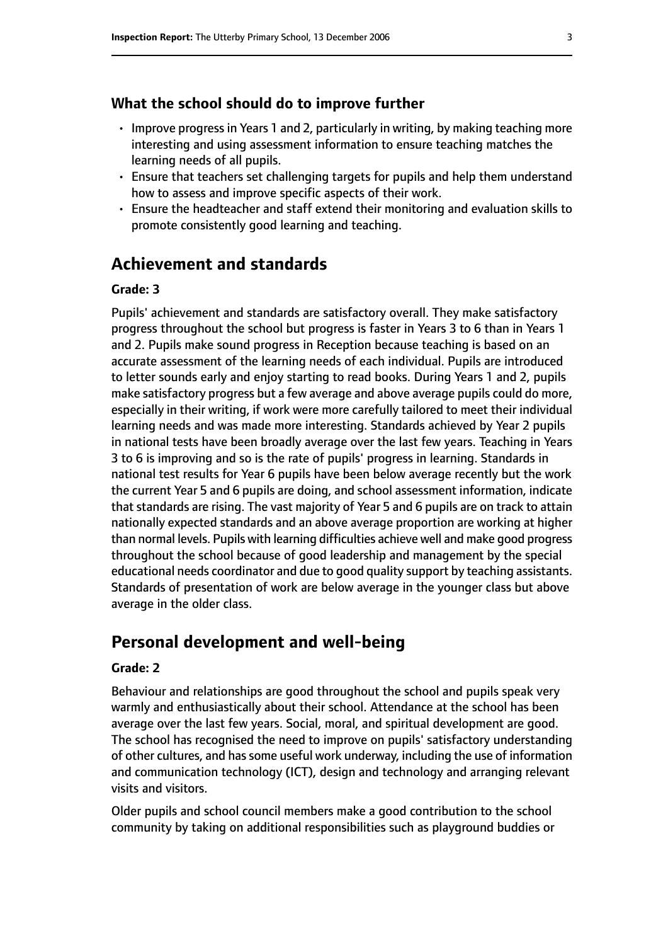#### **What the school should do to improve further**

- Improve progress in Years 1 and 2, particularly in writing, by making teaching more interesting and using assessment information to ensure teaching matches the learning needs of all pupils.
- Ensure that teachers set challenging targets for pupils and help them understand how to assess and improve specific aspects of their work.
- Ensure the headteacher and staff extend their monitoring and evaluation skills to promote consistently good learning and teaching.

# **Achievement and standards**

#### **Grade: 3**

Pupils' achievement and standards are satisfactory overall. They make satisfactory progress throughout the school but progress is faster in Years 3 to 6 than in Years 1 and 2. Pupils make sound progress in Reception because teaching is based on an accurate assessment of the learning needs of each individual. Pupils are introduced to letter sounds early and enjoy starting to read books. During Years 1 and 2, pupils make satisfactory progress but a few average and above average pupils could do more, especially in their writing, if work were more carefully tailored to meet their individual learning needs and was made more interesting. Standards achieved by Year 2 pupils in national tests have been broadly average over the last few years. Teaching in Years 3 to 6 is improving and so is the rate of pupils' progress in learning. Standards in national test results for Year 6 pupils have been below average recently but the work the current Year 5 and 6 pupils are doing, and school assessment information, indicate that standards are rising. The vast majority of Year 5 and 6 pupils are on track to attain nationally expected standards and an above average proportion are working at higher than normal levels. Pupils with learning difficulties achieve well and make good progress throughout the school because of good leadership and management by the special educational needs coordinator and due to good quality support by teaching assistants. Standards of presentation of work are below average in the younger class but above average in the older class.

### **Personal development and well-being**

#### **Grade: 2**

Behaviour and relationships are good throughout the school and pupils speak very warmly and enthusiastically about their school. Attendance at the school has been average over the last few years. Social, moral, and spiritual development are good. The school has recognised the need to improve on pupils' satisfactory understanding of other cultures, and hassome useful work underway, including the use of information and communication technology (ICT), design and technology and arranging relevant visits and visitors.

Older pupils and school council members make a good contribution to the school community by taking on additional responsibilities such as playground buddies or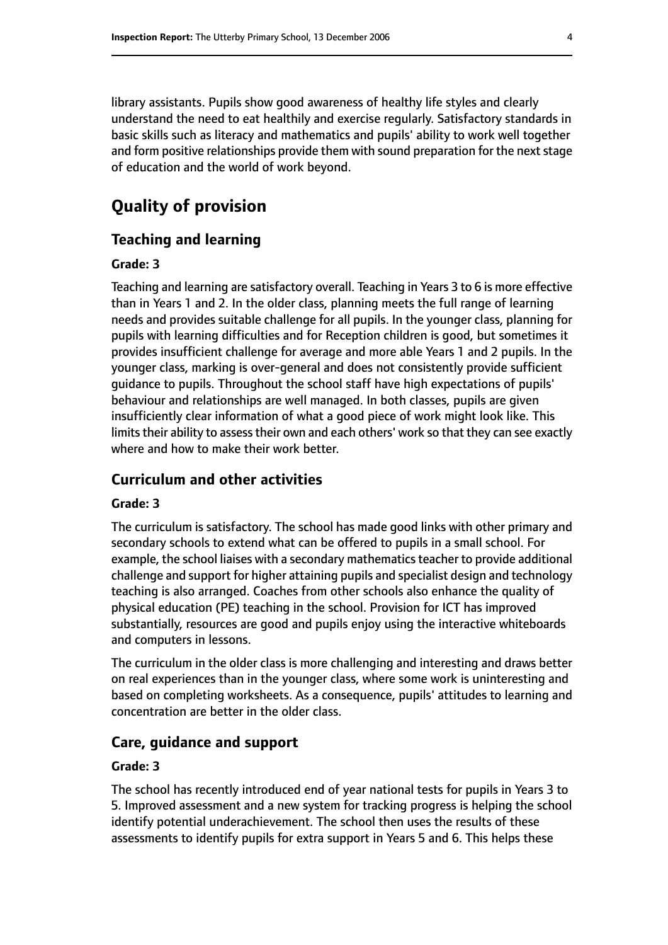library assistants. Pupils show good awareness of healthy life styles and clearly understand the need to eat healthily and exercise regularly. Satisfactory standards in basic skills such as literacy and mathematics and pupils' ability to work well together and form positive relationships provide them with sound preparation for the next stage of education and the world of work beyond.

# **Quality of provision**

#### **Teaching and learning**

#### **Grade: 3**

Teaching and learning are satisfactory overall. Teaching in Years 3 to 6 is more effective than in Years 1 and 2. In the older class, planning meets the full range of learning needs and provides suitable challenge for all pupils. In the younger class, planning for pupils with learning difficulties and for Reception children is good, but sometimes it provides insufficient challenge for average and more able Years 1 and 2 pupils. In the younger class, marking is over-general and does not consistently provide sufficient guidance to pupils. Throughout the school staff have high expectations of pupils' behaviour and relationships are well managed. In both classes, pupils are given insufficiently clear information of what a good piece of work might look like. This limits their ability to assess their own and each others' work so that they can see exactly where and how to make their work better.

#### **Curriculum and other activities**

#### **Grade: 3**

The curriculum is satisfactory. The school has made good links with other primary and secondary schools to extend what can be offered to pupils in a small school. For example, the school liaises with a secondary mathematics teacher to provide additional challenge and support for higher attaining pupils and specialist design and technology teaching is also arranged. Coaches from other schools also enhance the quality of physical education (PE) teaching in the school. Provision for ICT has improved substantially, resources are good and pupils enjoy using the interactive whiteboards and computers in lessons.

The curriculum in the older class is more challenging and interesting and draws better on real experiences than in the younger class, where some work is uninteresting and based on completing worksheets. As a consequence, pupils' attitudes to learning and concentration are better in the older class.

#### **Care, guidance and support**

#### **Grade: 3**

The school has recently introduced end of year national tests for pupils in Years 3 to 5. Improved assessment and a new system for tracking progress is helping the school identify potential underachievement. The school then uses the results of these assessments to identify pupils for extra support in Years 5 and 6. This helps these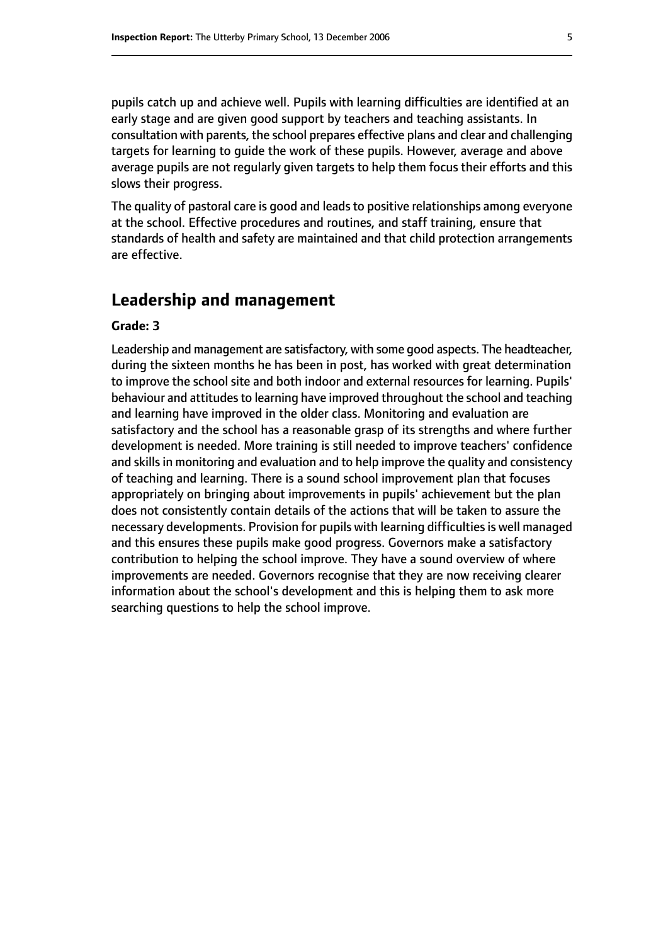pupils catch up and achieve well. Pupils with learning difficulties are identified at an early stage and are given good support by teachers and teaching assistants. In consultation with parents, the school prepares effective plans and clear and challenging targets for learning to guide the work of these pupils. However, average and above average pupils are not regularly given targets to help them focus their efforts and this slows their progress.

The quality of pastoral care is good and leads to positive relationships among everyone at the school. Effective procedures and routines, and staff training, ensure that standards of health and safety are maintained and that child protection arrangements are effective.

# **Leadership and management**

#### **Grade: 3**

Leadership and management are satisfactory, with some good aspects. The headteacher, during the sixteen months he has been in post, has worked with great determination to improve the school site and both indoor and external resources for learning. Pupils' behaviour and attitudes to learning have improved throughout the school and teaching and learning have improved in the older class. Monitoring and evaluation are satisfactory and the school has a reasonable grasp of its strengths and where further development is needed. More training is still needed to improve teachers' confidence and skills in monitoring and evaluation and to help improve the quality and consistency of teaching and learning. There is a sound school improvement plan that focuses appropriately on bringing about improvements in pupils' achievement but the plan does not consistently contain details of the actions that will be taken to assure the necessary developments. Provision for pupils with learning difficulties is well managed and this ensures these pupils make good progress. Governors make a satisfactory contribution to helping the school improve. They have a sound overview of where improvements are needed. Governors recognise that they are now receiving clearer information about the school's development and this is helping them to ask more searching questions to help the school improve.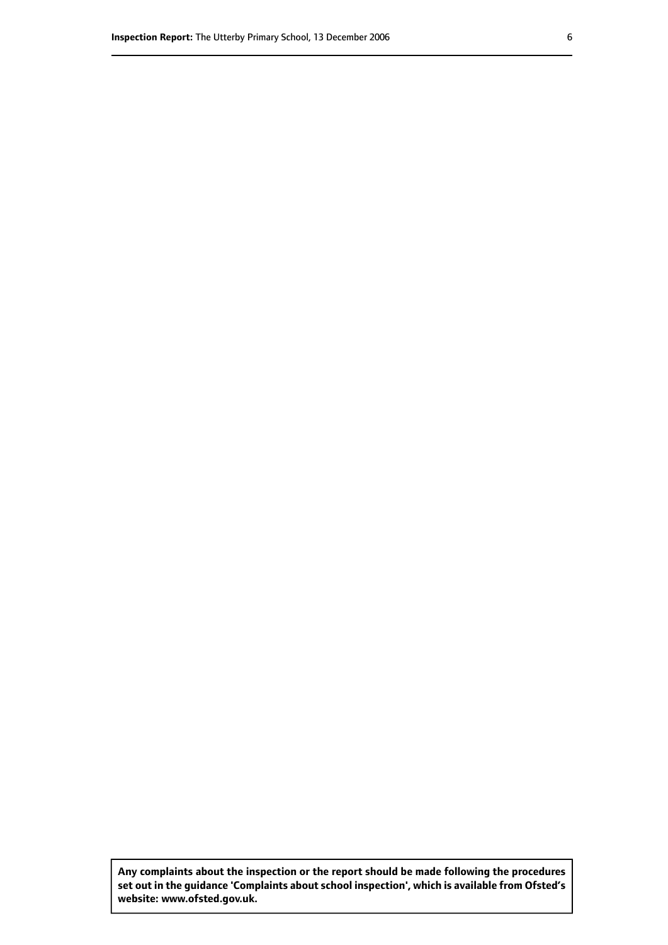**Any complaints about the inspection or the report should be made following the procedures set out inthe guidance 'Complaints about school inspection', whichis available from Ofsted's website: www.ofsted.gov.uk.**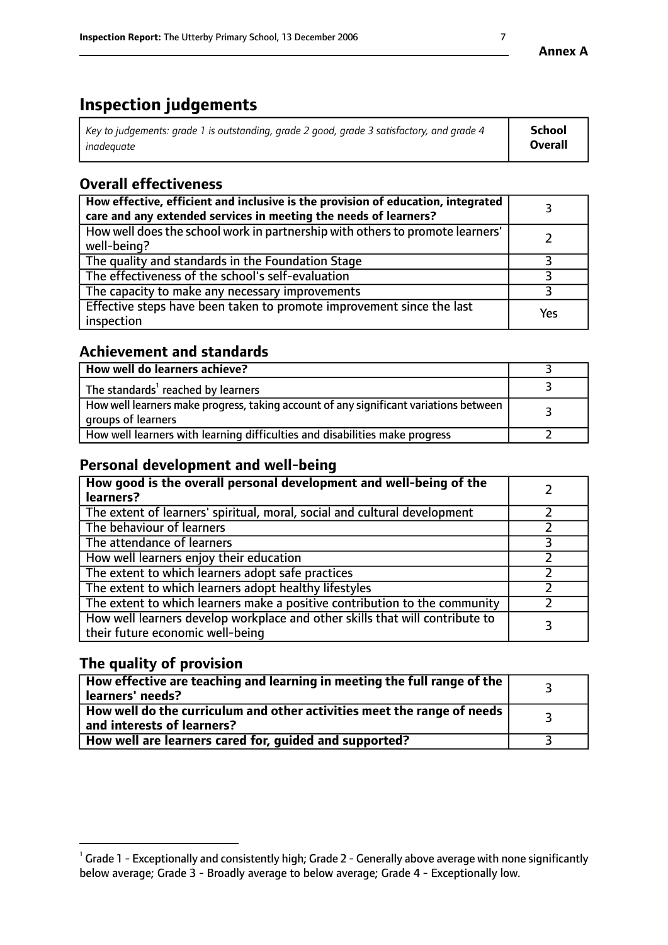# **Inspection judgements**

| Key to judgements: grade 1 is outstanding, grade 2 good, grade 3 satisfactory, and grade 4 | School         |
|--------------------------------------------------------------------------------------------|----------------|
| inadeauate                                                                                 | <b>Overall</b> |

# **Overall effectiveness**

| How effective, efficient and inclusive is the provision of education, integrated<br>care and any extended services in meeting the needs of learners? |     |
|------------------------------------------------------------------------------------------------------------------------------------------------------|-----|
| How well does the school work in partnership with others to promote learners'<br>well-being?                                                         |     |
| The quality and standards in the Foundation Stage                                                                                                    |     |
| The effectiveness of the school's self-evaluation                                                                                                    |     |
| The capacity to make any necessary improvements                                                                                                      |     |
| Effective steps have been taken to promote improvement since the last<br>inspection                                                                  | Yes |

# **Achievement and standards**

| How well do learners achieve?                                                                               |  |
|-------------------------------------------------------------------------------------------------------------|--|
| The standards <sup>1</sup> reached by learners                                                              |  |
| How well learners make progress, taking account of any significant variations between<br>groups of learners |  |
| How well learners with learning difficulties and disabilities make progress                                 |  |

# **Personal development and well-being**

| How good is the overall personal development and well-being of the<br>learners?                                  |  |
|------------------------------------------------------------------------------------------------------------------|--|
| The extent of learners' spiritual, moral, social and cultural development                                        |  |
| The behaviour of learners                                                                                        |  |
| The attendance of learners                                                                                       |  |
| How well learners enjoy their education                                                                          |  |
| The extent to which learners adopt safe practices                                                                |  |
| The extent to which learners adopt healthy lifestyles                                                            |  |
| The extent to which learners make a positive contribution to the community                                       |  |
| How well learners develop workplace and other skills that will contribute to<br>their future economic well-being |  |

# **The quality of provision**

| $\Box$ How effective are teaching and learning in meeting the full range of the $\Box$<br>  learners' needs?        |  |
|---------------------------------------------------------------------------------------------------------------------|--|
| $\mid$ How well do the curriculum and other activities meet the range of needs<br>$\mid$ and interests of learners? |  |
| How well are learners cared for, guided and supported?                                                              |  |

 $^1$  Grade 1 - Exceptionally and consistently high; Grade 2 - Generally above average with none significantly below average; Grade 3 - Broadly average to below average; Grade 4 - Exceptionally low.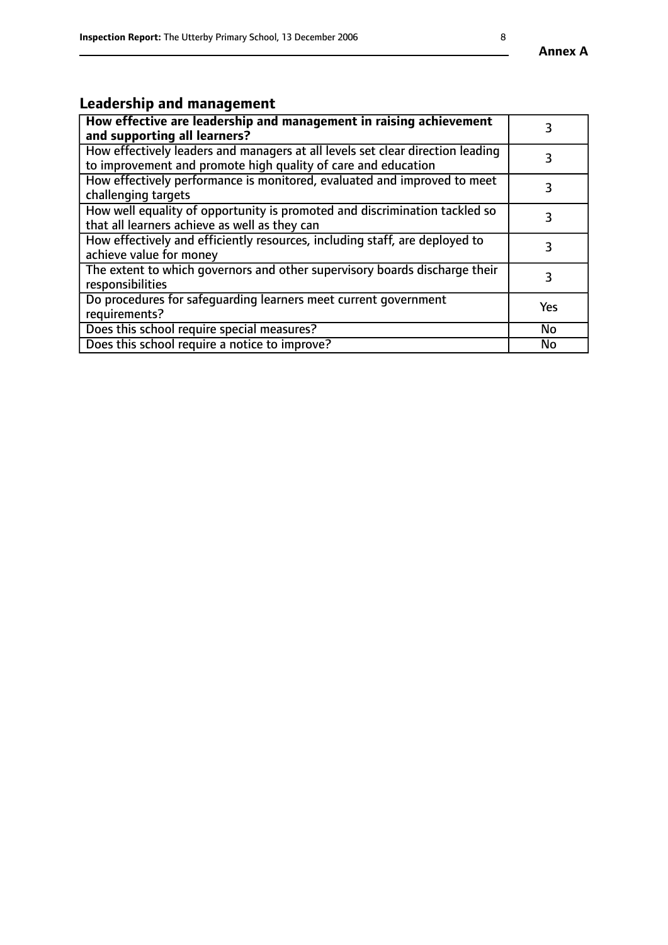#### **Annex A**

# **Leadership and management**

| How effective are leadership and management in raising achievement<br>and supporting all learners?                                              |           |
|-------------------------------------------------------------------------------------------------------------------------------------------------|-----------|
| How effectively leaders and managers at all levels set clear direction leading<br>to improvement and promote high quality of care and education |           |
| How effectively performance is monitored, evaluated and improved to meet<br>challenging targets                                                 | 3         |
| How well equality of opportunity is promoted and discrimination tackled so<br>that all learners achieve as well as they can                     |           |
| How effectively and efficiently resources, including staff, are deployed to<br>achieve value for money                                          | 3         |
| The extent to which governors and other supervisory boards discharge their<br>responsibilities                                                  | 3         |
| Do procedures for safequarding learners meet current government<br>requirements?                                                                | Yes       |
| Does this school require special measures?                                                                                                      | <b>No</b> |
| Does this school require a notice to improve?                                                                                                   | No        |